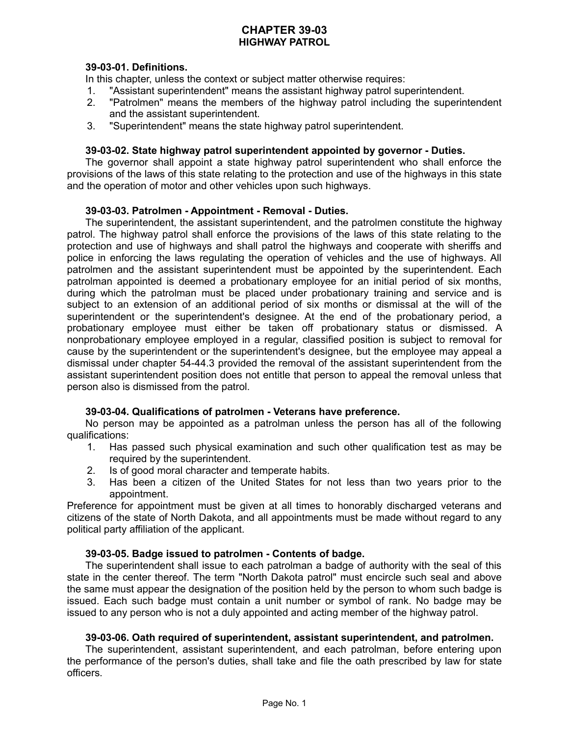# **CHAPTER 39-03 HIGHWAY PATROL**

## **39-03-01. Definitions.**

In this chapter, unless the context or subject matter otherwise requires:

- 1. "Assistant superintendent" means the assistant highway patrol superintendent.
- 2. "Patrolmen" means the members of the highway patrol including the superintendent and the assistant superintendent.
- 3. "Superintendent" means the state highway patrol superintendent.

### **39-03-02. State highway patrol superintendent appointed by governor - Duties.**

The governor shall appoint a state highway patrol superintendent who shall enforce the provisions of the laws of this state relating to the protection and use of the highways in this state and the operation of motor and other vehicles upon such highways.

### **39-03-03. Patrolmen - Appointment - Removal - Duties.**

The superintendent, the assistant superintendent, and the patrolmen constitute the highway patrol. The highway patrol shall enforce the provisions of the laws of this state relating to the protection and use of highways and shall patrol the highways and cooperate with sheriffs and police in enforcing the laws regulating the operation of vehicles and the use of highways. All patrolmen and the assistant superintendent must be appointed by the superintendent. Each patrolman appointed is deemed a probationary employee for an initial period of six months, during which the patrolman must be placed under probationary training and service and is subject to an extension of an additional period of six months or dismissal at the will of the superintendent or the superintendent's designee. At the end of the probationary period, a probationary employee must either be taken off probationary status or dismissed. A nonprobationary employee employed in a regular, classified position is subject to removal for cause by the superintendent or the superintendent's designee, but the employee may appeal a dismissal under chapter 54-44.3 provided the removal of the assistant superintendent from the assistant superintendent position does not entitle that person to appeal the removal unless that person also is dismissed from the patrol.

### **39-03-04. Qualifications of patrolmen - Veterans have preference.**

No person may be appointed as a patrolman unless the person has all of the following qualifications:

- 1. Has passed such physical examination and such other qualification test as may be required by the superintendent.
- 2. Is of good moral character and temperate habits.
- 3. Has been a citizen of the United States for not less than two years prior to the appointment.

Preference for appointment must be given at all times to honorably discharged veterans and citizens of the state of North Dakota, and all appointments must be made without regard to any political party affiliation of the applicant.

### **39-03-05. Badge issued to patrolmen - Contents of badge.**

The superintendent shall issue to each patrolman a badge of authority with the seal of this state in the center thereof. The term "North Dakota patrol" must encircle such seal and above the same must appear the designation of the position held by the person to whom such badge is issued. Each such badge must contain a unit number or symbol of rank. No badge may be issued to any person who is not a duly appointed and acting member of the highway patrol.

### **39-03-06. Oath required of superintendent, assistant superintendent, and patrolmen.**

The superintendent, assistant superintendent, and each patrolman, before entering upon the performance of the person's duties, shall take and file the oath prescribed by law for state officers.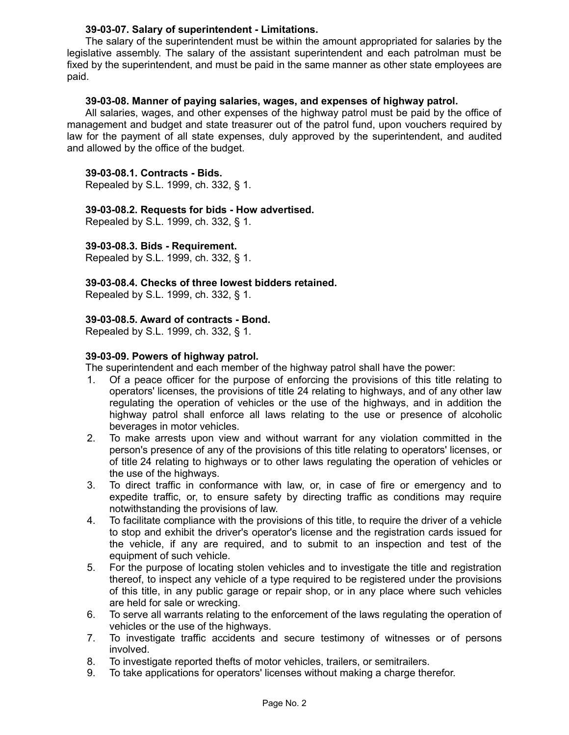## **39-03-07. Salary of superintendent - Limitations.**

The salary of the superintendent must be within the amount appropriated for salaries by the legislative assembly. The salary of the assistant superintendent and each patrolman must be fixed by the superintendent, and must be paid in the same manner as other state employees are paid.

### **39-03-08. Manner of paying salaries, wages, and expenses of highway patrol.**

All salaries, wages, and other expenses of the highway patrol must be paid by the office of management and budget and state treasurer out of the patrol fund, upon vouchers required by law for the payment of all state expenses, duly approved by the superintendent, and audited and allowed by the office of the budget.

### **39-03-08.1. Contracts - Bids.**

Repealed by S.L. 1999, ch. 332, § 1.

## **39-03-08.2. Requests for bids - How advertised.**

Repealed by S.L. 1999, ch. 332, § 1.

## **39-03-08.3. Bids - Requirement.**

Repealed by S.L. 1999, ch. 332, § 1.

## **39-03-08.4. Checks of three lowest bidders retained.**

Repealed by S.L. 1999, ch. 332, § 1.

## **39-03-08.5. Award of contracts - Bond.**

Repealed by S.L. 1999, ch. 332, § 1.

## **39-03-09. Powers of highway patrol.**

The superintendent and each member of the highway patrol shall have the power:

- 1. Of a peace officer for the purpose of enforcing the provisions of this title relating to operators' licenses, the provisions of title 24 relating to highways, and of any other law regulating the operation of vehicles or the use of the highways, and in addition the highway patrol shall enforce all laws relating to the use or presence of alcoholic beverages in motor vehicles.
- 2. To make arrests upon view and without warrant for any violation committed in the person's presence of any of the provisions of this title relating to operators' licenses, or of title 24 relating to highways or to other laws regulating the operation of vehicles or the use of the highways.
- 3. To direct traffic in conformance with law, or, in case of fire or emergency and to expedite traffic, or, to ensure safety by directing traffic as conditions may require notwithstanding the provisions of law.
- 4. To facilitate compliance with the provisions of this title, to require the driver of a vehicle to stop and exhibit the driver's operator's license and the registration cards issued for the vehicle, if any are required, and to submit to an inspection and test of the equipment of such vehicle.
- 5. For the purpose of locating stolen vehicles and to investigate the title and registration thereof, to inspect any vehicle of a type required to be registered under the provisions of this title, in any public garage or repair shop, or in any place where such vehicles are held for sale or wrecking.
- 6. To serve all warrants relating to the enforcement of the laws regulating the operation of vehicles or the use of the highways.
- 7. To investigate traffic accidents and secure testimony of witnesses or of persons involved.
- 8. To investigate reported thefts of motor vehicles, trailers, or semitrailers.
- 9. To take applications for operators' licenses without making a charge therefor.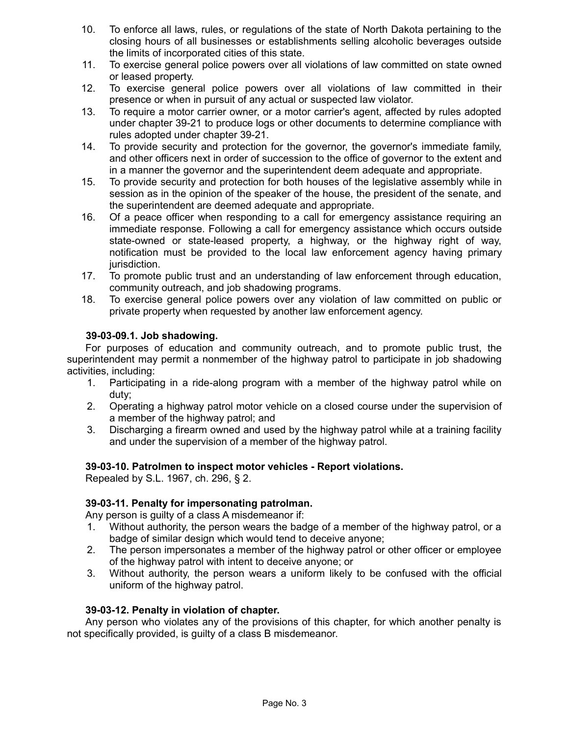- 10. To enforce all laws, rules, or regulations of the state of North Dakota pertaining to the closing hours of all businesses or establishments selling alcoholic beverages outside the limits of incorporated cities of this state.
- 11. To exercise general police powers over all violations of law committed on state owned or leased property.
- 12. To exercise general police powers over all violations of law committed in their presence or when in pursuit of any actual or suspected law violator.
- 13. To require a motor carrier owner, or a motor carrier's agent, affected by rules adopted under chapter 39-21 to produce logs or other documents to determine compliance with rules adopted under chapter 39-21.
- 14. To provide security and protection for the governor, the governor's immediate family, and other officers next in order of succession to the office of governor to the extent and in a manner the governor and the superintendent deem adequate and appropriate.
- 15. To provide security and protection for both houses of the legislative assembly while in session as in the opinion of the speaker of the house, the president of the senate, and the superintendent are deemed adequate and appropriate.
- 16. Of a peace officer when responding to a call for emergency assistance requiring an immediate response. Following a call for emergency assistance which occurs outside state-owned or state-leased property, a highway, or the highway right of way, notification must be provided to the local law enforcement agency having primary jurisdiction.
- 17. To promote public trust and an understanding of law enforcement through education, community outreach, and job shadowing programs.
- 18. To exercise general police powers over any violation of law committed on public or private property when requested by another law enforcement agency.

# **39-03-09.1. Job shadowing.**

For purposes of education and community outreach, and to promote public trust, the superintendent may permit a nonmember of the highway patrol to participate in job shadowing activities, including:

- 1. Participating in a ride-along program with a member of the highway patrol while on duty;
- 2. Operating a highway patrol motor vehicle on a closed course under the supervision of a member of the highway patrol; and
- 3. Discharging a firearm owned and used by the highway patrol while at a training facility and under the supervision of a member of the highway patrol.

# **39-03-10. Patrolmen to inspect motor vehicles - Report violations.**

Repealed by S.L. 1967, ch. 296, § 2.

# **39-03-11. Penalty for impersonating patrolman.**

Any person is guilty of a class A misdemeanor if:

- 1. Without authority, the person wears the badge of a member of the highway patrol, or a badge of similar design which would tend to deceive anyone;
- 2. The person impersonates a member of the highway patrol or other officer or employee of the highway patrol with intent to deceive anyone; or
- 3. Without authority, the person wears a uniform likely to be confused with the official uniform of the highway patrol.

# **39-03-12. Penalty in violation of chapter.**

Any person who violates any of the provisions of this chapter, for which another penalty is not specifically provided, is guilty of a class B misdemeanor.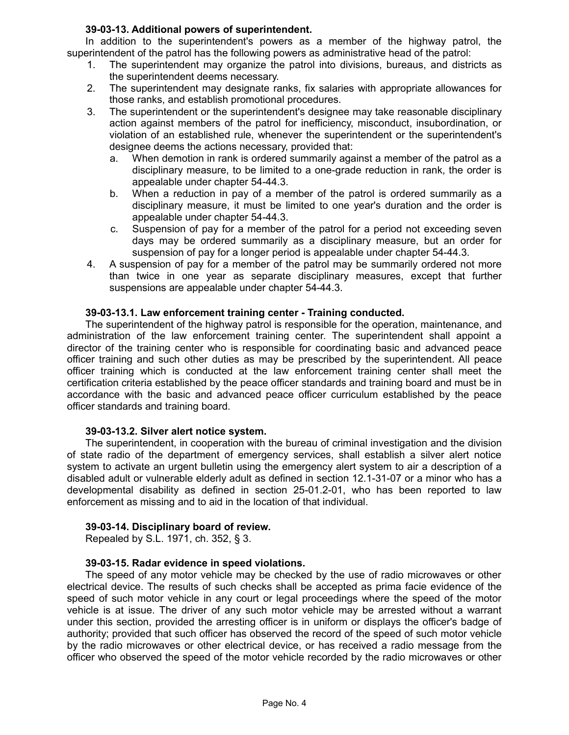# **39-03-13. Additional powers of superintendent.**

In addition to the superintendent's powers as a member of the highway patrol, the superintendent of the patrol has the following powers as administrative head of the patrol:

- 1. The superintendent may organize the patrol into divisions, bureaus, and districts as the superintendent deems necessary.
- 2. The superintendent may designate ranks, fix salaries with appropriate allowances for those ranks, and establish promotional procedures.
- 3. The superintendent or the superintendent's designee may take reasonable disciplinary action against members of the patrol for inefficiency, misconduct, insubordination, or violation of an established rule, whenever the superintendent or the superintendent's designee deems the actions necessary, provided that:
	- a. When demotion in rank is ordered summarily against a member of the patrol as a disciplinary measure, to be limited to a one-grade reduction in rank, the order is appealable under chapter 54-44.3.
	- b. When a reduction in pay of a member of the patrol is ordered summarily as a disciplinary measure, it must be limited to one year's duration and the order is appealable under chapter 54-44.3.
	- c. Suspension of pay for a member of the patrol for a period not exceeding seven days may be ordered summarily as a disciplinary measure, but an order for suspension of pay for a longer period is appealable under chapter 54-44.3.
- 4. A suspension of pay for a member of the patrol may be summarily ordered not more than twice in one year as separate disciplinary measures, except that further suspensions are appealable under chapter 54-44.3.

# **39-03-13.1. Law enforcement training center - Training conducted.**

The superintendent of the highway patrol is responsible for the operation, maintenance, and administration of the law enforcement training center. The superintendent shall appoint a director of the training center who is responsible for coordinating basic and advanced peace officer training and such other duties as may be prescribed by the superintendent. All peace officer training which is conducted at the law enforcement training center shall meet the certification criteria established by the peace officer standards and training board and must be in accordance with the basic and advanced peace officer curriculum established by the peace officer standards and training board.

# **39-03-13.2. Silver alert notice system.**

The superintendent, in cooperation with the bureau of criminal investigation and the division of state radio of the department of emergency services, shall establish a silver alert notice system to activate an urgent bulletin using the emergency alert system to air a description of a disabled adult or vulnerable elderly adult as defined in section 12.1-31-07 or a minor who has a developmental disability as defined in section 25-01.2-01, who has been reported to law enforcement as missing and to aid in the location of that individual.

# **39-03-14. Disciplinary board of review.**

Repealed by S.L. 1971, ch. 352, § 3.

# **39-03-15. Radar evidence in speed violations.**

The speed of any motor vehicle may be checked by the use of radio microwaves or other electrical device. The results of such checks shall be accepted as prima facie evidence of the speed of such motor vehicle in any court or legal proceedings where the speed of the motor vehicle is at issue. The driver of any such motor vehicle may be arrested without a warrant under this section, provided the arresting officer is in uniform or displays the officer's badge of authority; provided that such officer has observed the record of the speed of such motor vehicle by the radio microwaves or other electrical device, or has received a radio message from the officer who observed the speed of the motor vehicle recorded by the radio microwaves or other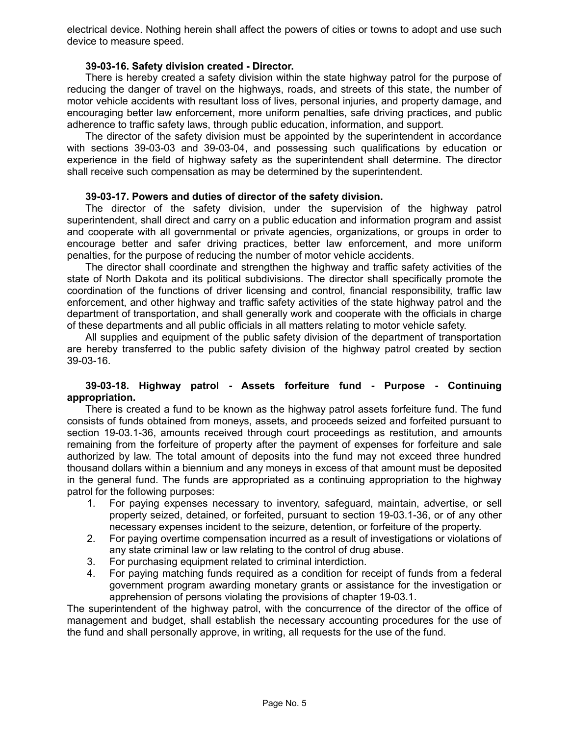electrical device. Nothing herein shall affect the powers of cities or towns to adopt and use such device to measure speed.

## **39-03-16. Safety division created - Director.**

There is hereby created a safety division within the state highway patrol for the purpose of reducing the danger of travel on the highways, roads, and streets of this state, the number of motor vehicle accidents with resultant loss of lives, personal injuries, and property damage, and encouraging better law enforcement, more uniform penalties, safe driving practices, and public adherence to traffic safety laws, through public education, information, and support.

The director of the safety division must be appointed by the superintendent in accordance with sections 39-03-03 and 39-03-04, and possessing such qualifications by education or experience in the field of highway safety as the superintendent shall determine. The director shall receive such compensation as may be determined by the superintendent.

### **39-03-17. Powers and duties of director of the safety division.**

The director of the safety division, under the supervision of the highway patrol superintendent, shall direct and carry on a public education and information program and assist and cooperate with all governmental or private agencies, organizations, or groups in order to encourage better and safer driving practices, better law enforcement, and more uniform penalties, for the purpose of reducing the number of motor vehicle accidents.

The director shall coordinate and strengthen the highway and traffic safety activities of the state of North Dakota and its political subdivisions. The director shall specifically promote the coordination of the functions of driver licensing and control, financial responsibility, traffic law enforcement, and other highway and traffic safety activities of the state highway patrol and the department of transportation, and shall generally work and cooperate with the officials in charge of these departments and all public officials in all matters relating to motor vehicle safety.

All supplies and equipment of the public safety division of the department of transportation are hereby transferred to the public safety division of the highway patrol created by section 39-03-16.

## **39-03-18. Highway patrol - Assets forfeiture fund - Purpose - Continuing appropriation.**

There is created a fund to be known as the highway patrol assets forfeiture fund. The fund consists of funds obtained from moneys, assets, and proceeds seized and forfeited pursuant to section 19-03.1-36, amounts received through court proceedings as restitution, and amounts remaining from the forfeiture of property after the payment of expenses for forfeiture and sale authorized by law. The total amount of deposits into the fund may not exceed three hundred thousand dollars within a biennium and any moneys in excess of that amount must be deposited in the general fund. The funds are appropriated as a continuing appropriation to the highway patrol for the following purposes:

- 1. For paying expenses necessary to inventory, safeguard, maintain, advertise, or sell property seized, detained, or forfeited, pursuant to section 19-03.1-36, or of any other necessary expenses incident to the seizure, detention, or forfeiture of the property.
- 2. For paying overtime compensation incurred as a result of investigations or violations of any state criminal law or law relating to the control of drug abuse.
- 3. For purchasing equipment related to criminal interdiction.
- 4. For paying matching funds required as a condition for receipt of funds from a federal government program awarding monetary grants or assistance for the investigation or apprehension of persons violating the provisions of chapter 19-03.1.

The superintendent of the highway patrol, with the concurrence of the director of the office of management and budget, shall establish the necessary accounting procedures for the use of the fund and shall personally approve, in writing, all requests for the use of the fund.